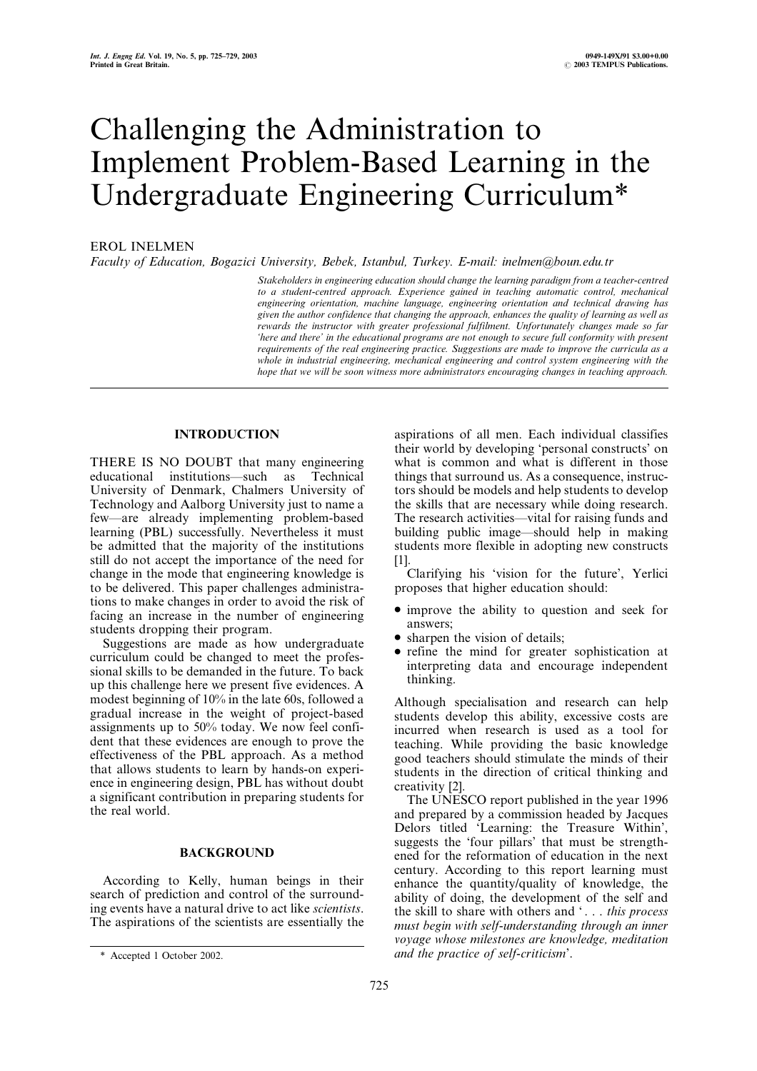# Challenging the Administration to Implement Problem-Based Learning in the Undergraduate Engineering Curriculum\*

## EROL INELMEN

Faculty of Education, Bogazici University, Bebek, Istanbul, Turkey. E-mail: inelmen@boun.edu.tr

Stakeholders in engineering education should change the learning paradigm from a teacher-centred to a student-centred approach. Experience gained in teaching automatic control, mechanical engineering orientation, machine language, engineering orientation and technical drawing has given the author confidence that changing the approach, enhances the quality of learning as well as rewards the instructor with greater professional fulfilment. Unfortunately changes made so far `here and there' in the educational programs are not enough to secure full conformity with present requirements of the real engineering practice. Suggestions are made to improve the curricula as a whole in industrial engineering, mechanical engineering and control system engineering with the hope that we will be soon witness more administrators encouraging changes in teaching approach.

## INTRODUCTION

THERE IS NO DOUBT that many engineering educational institutions—such as Technical University of Denmark, Chalmers University of Technology and Aalborg University just to name a few—are already implementing problem-based learning (PBL) successfully. Nevertheless it must be admitted that the majority of the institutions still do not accept the importance of the need for change in the mode that engineering knowledge is to be delivered. This paper challenges administrations to make changes in order to avoid the risk of facing an increase in the number of engineering students dropping their program.

Suggestions are made as how undergraduate curriculum could be changed to meet the professional skills to be demanded in the future. To back up this challenge here we present five evidences. A modest beginning of 10% in the late 60s, followed a gradual increase in the weight of project-based assignments up to 50% today. We now feel confident that these evidences are enough to prove the effectiveness of the PBL approach. As a method that allows students to learn by hands-on experience in engineering design, PBL has without doubt a significant contribution in preparing students for the real world.

## BACKGROUND

According to Kelly, human beings in their search of prediction and control of the surrounding events have a natural drive to act like scientists. The aspirations of the scientists are essentially the aspirations of all men. Each individual classifies their world by developing `personal constructs' on what is common and what is different in those things that surround us. As a consequence, instructors should be models and help students to develop the skills that are necessary while doing research. The research activities—vital for raising funds and building public image—should help in making students more flexible in adopting new constructs  $[1]$ 

Clarifying his `vision for the future', Yerlici proposes that higher education should:

- . improve the ability to question and seek for answers;
- sharpen the vision of details;
- . refine the mind for greater sophistication at interpreting data and encourage independent thinking.

Although specialisation and research can help students develop this ability, excessive costs are incurred when research is used as a tool for teaching. While providing the basic knowledge good teachers should stimulate the minds of their students in the direction of critical thinking and creativity [2].

The UNESCO report published in the year 1996 and prepared by a commission headed by Jacques Delors titled `Learning: the Treasure Within', suggests the `four pillars' that must be strengthened for the reformation of education in the next century. According to this report learning must enhance the quantity/quality of knowledge, the ability of doing, the development of the self and the skill to share with others and '... this process must begin with self-understanding through an inner voyage whose milestones are knowledge, meditation \* Accepted 1 October 2002. and the practice of self-criticism'.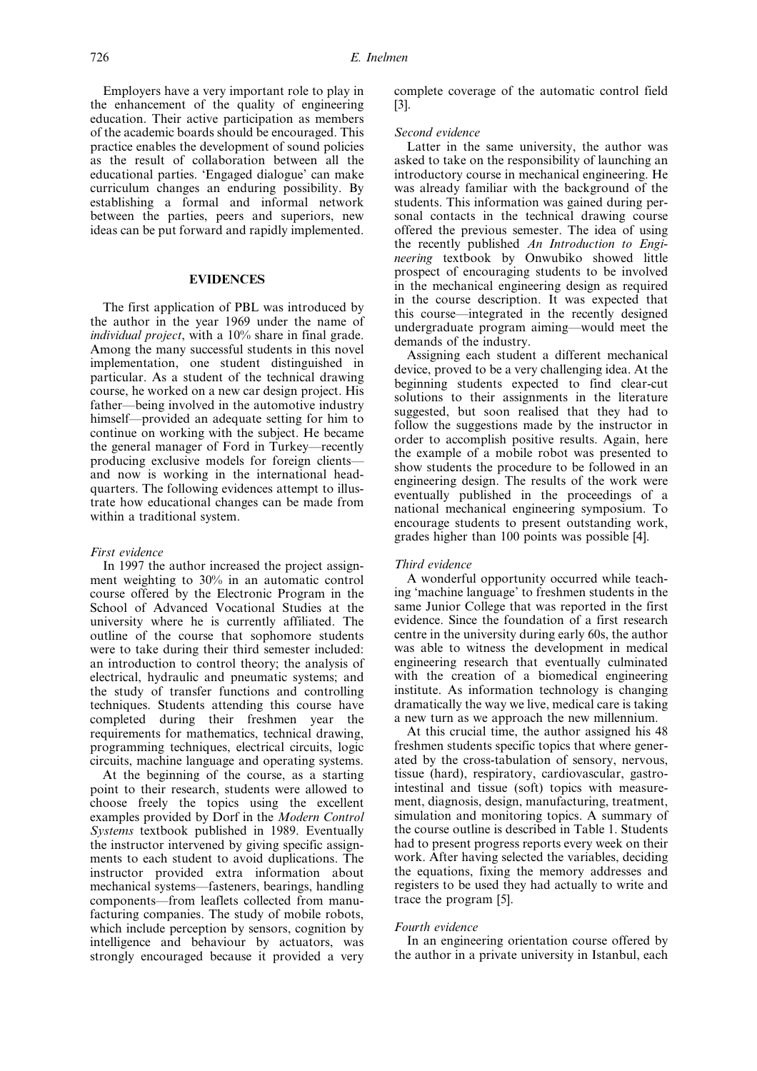Employers have a very important role to play in the enhancement of the quality of engineering education. Their active participation as members of the academic boards should be encouraged. This practice enables the development of sound policies as the result of collaboration between all the educational parties. `Engaged dialogue' can make curriculum changes an enduring possibility. By establishing a formal and informal network between the parties, peers and superiors, new ideas can be put forward and rapidly implemented.

## EVIDENCES

The first application of PBL was introduced by the author in the year 1969 under the name of individual project, with a 10% share in final grade. Among the many successful students in this novel implementation, one student distinguished in particular. As a student of the technical drawing course, he worked on a new car design project. His father—being involved in the automotive industry himself—provided an adequate setting for him to continue on working with the subject. He became the general manager of Ford in Turkey—recently producing exclusive models for foreign clients and now is working in the international headquarters. The following evidences attempt to illustrate how educational changes can be made from within a traditional system.

#### First evidence

In 1997 the author increased the project assignment weighting to 30% in an automatic control course offered by the Electronic Program in the School of Advanced Vocational Studies at the university where he is currently affiliated. The outline of the course that sophomore students were to take during their third semester included: an introduction to control theory; the analysis of electrical, hydraulic and pneumatic systems; and the study of transfer functions and controlling techniques. Students attending this course have completed during their freshmen year the requirements for mathematics, technical drawing, programming techniques, electrical circuits, logic circuits, machine language and operating systems.

At the beginning of the course, as a starting point to their research, students were allowed to choose freely the topics using the excellent examples provided by Dorf in the Modern Control Systems textbook published in 1989. Eventually the instructor intervened by giving specific assignments to each student to avoid duplications. The instructor provided extra information about mechanical systems—fasteners, bearings, handling components—from leaflets collected from manufacturing companies. The study of mobile robots, which include perception by sensors, cognition by intelligence and behaviour by actuators, was strongly encouraged because it provided a very

complete coverage of the automatic control field [3].

### Second evidence

Latter in the same university, the author was asked to take on the responsibility of launching an introductory course in mechanical engineering. He was already familiar with the background of the students. This information was gained during personal contacts in the technical drawing course offered the previous semester. The idea of using the recently published An Introduction to Engineering textbook by Onwubiko showed little prospect of encouraging students to be involved in the mechanical engineering design as required in the course description. It was expected that this course—integrated in the recently designed undergraduate program aiming—would meet the demands of the industry.

Assigning each student a different mechanical device, proved to be a very challenging idea. At the beginning students expected to find clear-cut solutions to their assignments in the literature suggested, but soon realised that they had to follow the suggestions made by the instructor in order to accomplish positive results. Again, here the example of a mobile robot was presented to show students the procedure to be followed in an engineering design. The results of the work were eventually published in the proceedings of a national mechanical engineering symposium. To encourage students to present outstanding work, grades higher than 100 points was possible [4].

#### Third evidence

A wonderful opportunity occurred while teaching `machine language' to freshmen students in the same Junior College that was reported in the first evidence. Since the foundation of a first research centre in the university during early 60s, the author was able to witness the development in medical engineering research that eventually culminated with the creation of a biomedical engineering institute. As information technology is changing dramatically the way we live, medical care is taking a new turn as we approach the new millennium.

At this crucial time, the author assigned his 48 freshmen students specific topics that where generated by the cross-tabulation of sensory, nervous, tissue (hard), respiratory, cardiovascular, gastrointestinal and tissue (soft) topics with measurement, diagnosis, design, manufacturing, treatment, simulation and monitoring topics. A summary of the course outline is described in Table 1. Students had to present progress reports every week on their work. After having selected the variables, deciding the equations, fixing the memory addresses and registers to be used they had actually to write and trace the program [5].

#### Fourth evidence

In an engineering orientation course offered by the author in a private university in Istanbul, each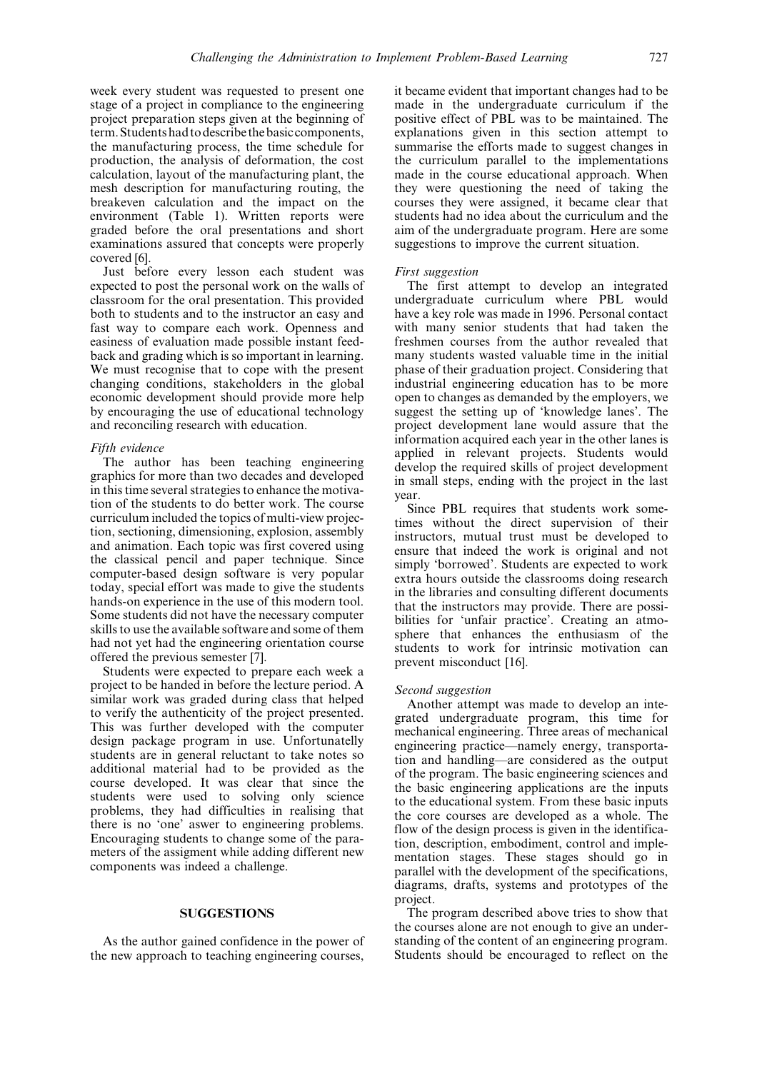week every student was requested to present one stage of a project in compliance to the engineering project preparation steps given at the beginning of term.Studentshadtodescribethebasic components, the manufacturing process, the time schedule for production, the analysis of deformation, the cost calculation, layout of the manufacturing plant, the mesh description for manufacturing routing, the breakeven calculation and the impact on the environment (Table 1). Written reports were graded before the oral presentations and short examinations assured that concepts were properly covered [6].

Just before every lesson each student was expected to post the personal work on the walls of classroom for the oral presentation. This provided both to students and to the instructor an easy and fast way to compare each work. Openness and easiness of evaluation made possible instant feedback and grading which is so important in learning. We must recognise that to cope with the present changing conditions, stakeholders in the global economic development should provide more help by encouraging the use of educational technology and reconciling research with education.

#### Fifth evidence

The author has been teaching engineering graphics for more than two decades and developed in this time several strategies to enhance the motivation of the students to do better work. The course curriculum included the topics of multi-view projection, sectioning, dimensioning, explosion, assembly and animation. Each topic was first covered using the classical pencil and paper technique. Since computer-based design software is very popular today, special effort was made to give the students hands-on experience in the use of this modern tool. Some students did not have the necessary computer skills to use the available software and some of them had not yet had the engineering orientation course offered the previous semester [7].

Students were expected to prepare each week a project to be handed in before the lecture period. A similar work was graded during class that helped to verify the authenticity of the project presented. This was further developed with the computer design package program in use. Unfortunatelly students are in general reluctant to take notes so additional material had to be provided as the course developed. It was clear that since the students were used to solving only science problems, they had difficulties in realising that there is no `one' aswer to engineering problems. Encouraging students to change some of the parameters of the assigment while adding different new components was indeed a challenge.

## **SUGGESTIONS**

As the author gained confidence in the power of the new approach to teaching engineering courses,

it became evident that important changes had to be made in the undergraduate curriculum if the positive effect of PBL was to be maintained. The explanations given in this section attempt to summarise the efforts made to suggest changes in the curriculum parallel to the implementations made in the course educational approach. When they were questioning the need of taking the courses they were assigned, it became clear that students had no idea about the curriculum and the aim of the undergraduate program. Here are some suggestions to improve the current situation.

#### First suggestion

The first attempt to develop an integrated undergraduate curriculum where PBL would have a key role was made in 1996. Personal contact with many senior students that had taken the freshmen courses from the author revealed that many students wasted valuable time in the initial phase of their graduation project. Considering that industrial engineering education has to be more open to changes as demanded by the employers, we suggest the setting up of `knowledge lanes'. The project development lane would assure that the information acquired each year in the other lanes is applied in relevant projects. Students would develop the required skills of project development in small steps, ending with the project in the last year.

Since PBL requires that students work sometimes without the direct supervision of their instructors, mutual trust must be developed to ensure that indeed the work is original and not simply 'borrowed'. Students are expected to work extra hours outside the classrooms doing research in the libraries and consulting different documents that the instructors may provide. There are possibilities for 'unfair practice'. Creating an atmosphere that enhances the enthusiasm of the students to work for intrinsic motivation can prevent misconduct [16].

## Second suggestion

Another attempt was made to develop an integrated undergraduate program, this time for mechanical engineering. Three areas of mechanical engineering practice—namely energy, transportation and handling—are considered as the output of the program. The basic engineering sciences and the basic engineering applications are the inputs to the educational system. From these basic inputs the core courses are developed as a whole. The flow of the design process is given in the identification, description, embodiment, control and implementation stages. These stages should go in parallel with the development of the specifications, diagrams, drafts, systems and prototypes of the project.

The program described above tries to show that the courses alone are not enough to give an understanding of the content of an engineering program. Students should be encouraged to reflect on the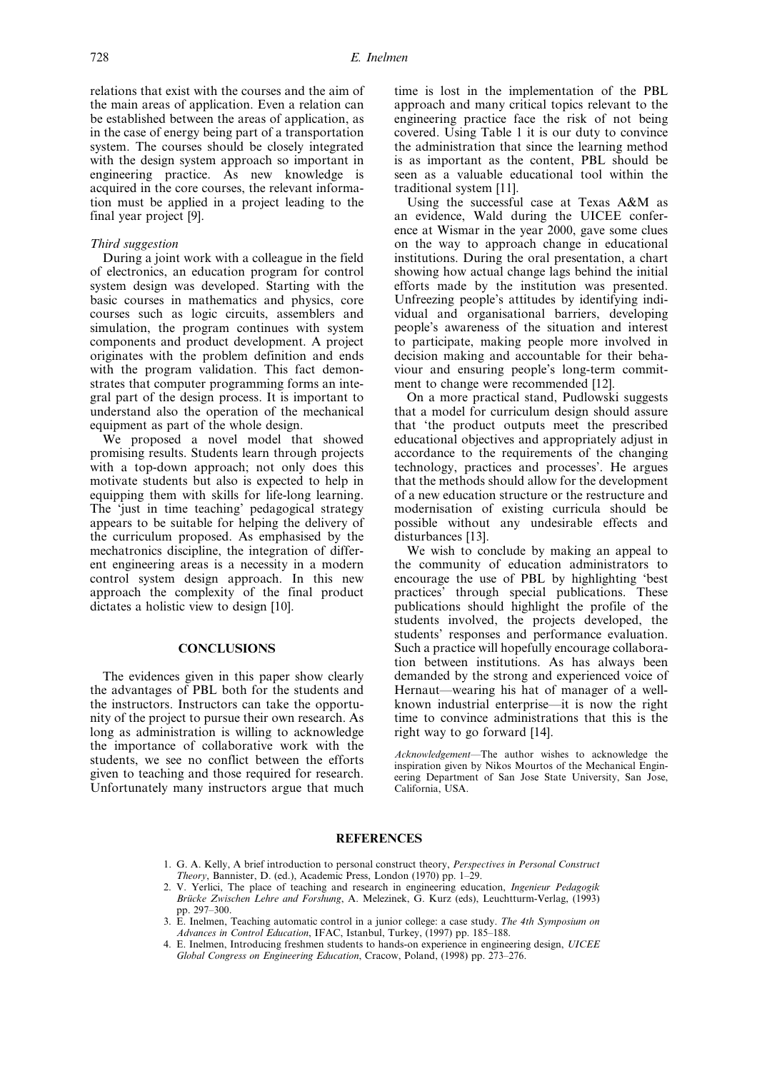relations that exist with the courses and the aim of the main areas of application. Even a relation can be established between the areas of application, as in the case of energy being part of a transportation system. The courses should be closely integrated with the design system approach so important in engineering practice. As new knowledge is acquired in the core courses, the relevant information must be applied in a project leading to the final year project [9].

## Third suggestion

During a joint work with a colleague in the field of electronics, an education program for control system design was developed. Starting with the basic courses in mathematics and physics, core courses such as logic circuits, assemblers and simulation, the program continues with system components and product development. A project originates with the problem definition and ends with the program validation. This fact demonstrates that computer programming forms an integral part of the design process. It is important to understand also the operation of the mechanical equipment as part of the whole design.

We proposed a novel model that showed promising results. Students learn through projects with a top-down approach; not only does this motivate students but also is expected to help in equipping them with skills for life-long learning. The 'just in time teaching' pedagogical strategy appears to be suitable for helping the delivery of the curriculum proposed. As emphasised by the mechatronics discipline, the integration of different engineering areas is a necessity in a modern control system design approach. In this new approach the complexity of the final product dictates a holistic view to design [10].

## **CONCLUSIONS**

The evidences given in this paper show clearly the advantages of PBL both for the students and the instructors. Instructors can take the opportunity of the project to pursue their own research. As long as administration is willing to acknowledge the importance of collaborative work with the students, we see no conflict between the efforts given to teaching and those required for research. Unfortunately many instructors argue that much time is lost in the implementation of the PBL approach and many critical topics relevant to the engineering practice face the risk of not being covered. Using Table 1 it is our duty to convince the administration that since the learning method is as important as the content, PBL should be seen as a valuable educational tool within the traditional system [11].

Using the successful case at Texas A&M as an evidence, Wald during the UICEE conference at Wismar in the year 2000, gave some clues on the way to approach change in educational institutions. During the oral presentation, a chart showing how actual change lags behind the initial efforts made by the institution was presented. Unfreezing people's attitudes by identifying individual and organisational barriers, developing people's awareness of the situation and interest to participate, making people more involved in decision making and accountable for their behaviour and ensuring people's long-term commitment to change were recommended [12].

On a more practical stand, Pudlowski suggests that a model for curriculum design should assure that `the product outputs meet the prescribed educational objectives and appropriately adjust in accordance to the requirements of the changing technology, practices and processes'. He argues that the methods should allow for the development of a new education structure or the restructure and modernisation of existing curricula should be possible without any undesirable effects and disturbances [13].

We wish to conclude by making an appeal to the community of education administrators to encourage the use of PBL by highlighting `best practices' through special publications. These publications should highlight the profile of the students involved, the projects developed, the students' responses and performance evaluation. Such a practice will hopefully encourage collaboration between institutions. As has always been demanded by the strong and experienced voice of Hernaut—wearing his hat of manager of a wellknown industrial enterprise—it is now the right time to convince administrations that this is the right way to go forward [14].

Acknowledgement-The author wishes to acknowledge the inspiration given by Nikos Mourtos of the Mechanical Engineering Department of San Jose State University, San Jose, California, USA.

#### REFERENCES

- 1. G. A. Kelly, A brief introduction to personal construct theory, Perspectives in Personal Construct Theory, Bannister, D. (ed.), Academic Press, London (1970) pp. 1-29.
- 2. V. Yerlici, The place of teaching and research in engineering education, Ingenieur Pedagogik Brücke Zwischen Lehre and Forshung, A. Melezinek, G. Kurz (eds), Leuchtturm-Verlag, (1993) pp. 297-300.
- 3. E. Inelmen, Teaching automatic control in a junior college: a case study. The 4th Symposium on Advances in Control Education, IFAC, Istanbul, Turkey, (1997) pp. 185-188.
- 4. E. Inelmen, Introducing freshmen students to hands-on experience in engineering design, UICEE Global Congress on Engineering Education, Cracow, Poland, (1998) pp. 273-276.